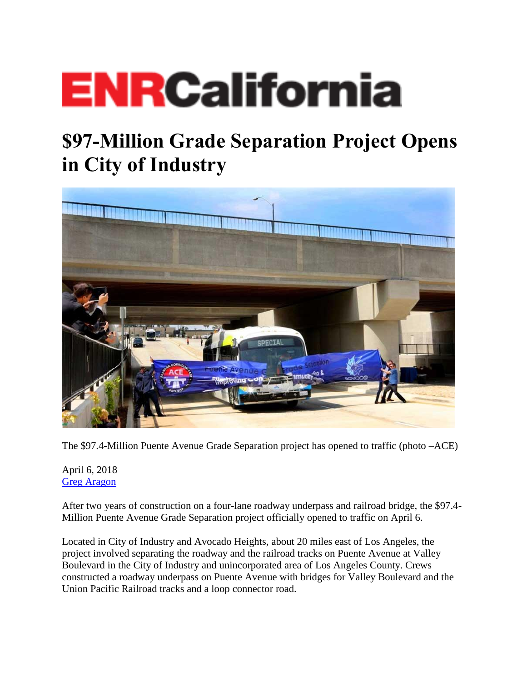## **ENRCalifornia**

## **\$97-Million Grade Separation Project Opens in City of Industry**



The \$97.4-Million Puente Avenue Grade Separation project has opened to traffic (photo –ACE)

April 6, 2018 [Greg Aragon](https://www.enr.com/authors/54-greg-aragon)

After two years of construction on a four-lane roadway underpass and railroad bridge, the \$97.4- Million Puente Avenue Grade Separation project officially opened to traffic on April 6.

Located in City of Industry and Avocado Heights, about 20 miles east of Los Angeles, the project involved separating the roadway and the railroad tracks on Puente Avenue at Valley Boulevard in the City of Industry and unincorporated area of Los Angeles County. Crews constructed a roadway underpass on Puente Avenue with bridges for Valley Boulevard and the Union Pacific Railroad tracks and a loop connector road.